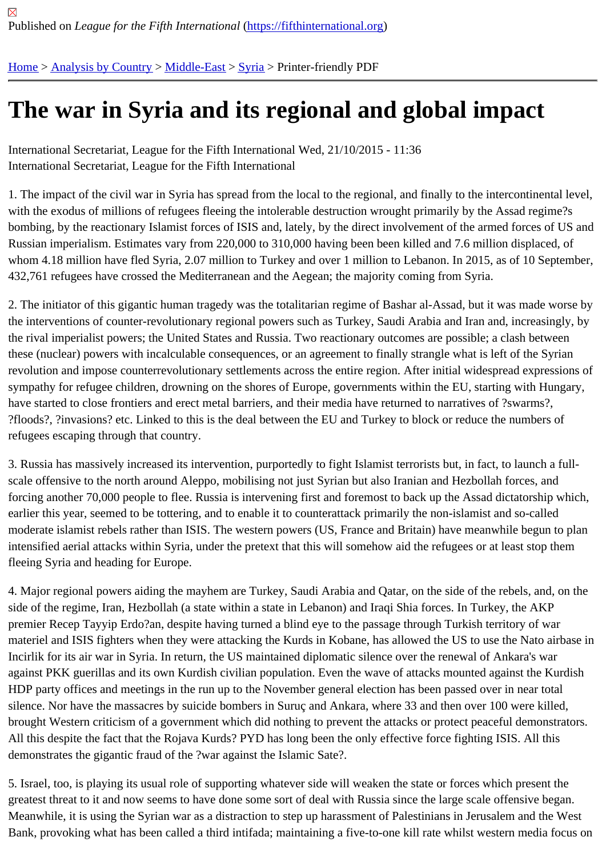## [The](https://fifthinternational.org/) [war in Sy](https://fifthinternational.org/category/1)[ria and](https://fifthinternational.org/category/1/178) [its](https://fifthinternational.org/category/1/178/196) regional and global impact

International Secretariat, League for the Fifth International Wed, 21/10/2015 - 11:36 International Secretariat, League for the Fifth International

1. The impact of the civil war in Syria has spread from the local to the regional, and finally to the intercontinental le with the exodus of millions of refugees fleeing the intolerable destruction wrought primarily by the Assad regime?s bombing, by the reactionary Islamist forces of ISIS and, lately, by the direct involvement of the armed forces of US Russian imperialism. Estimates vary from 220,000 to 310,000 having been been killed and 7.6 million displaced, of whom 4.18 million have fled Syria, 2.07 million to Turkey and over 1 million to Lebanon. In 2015, as of 10 Septeml 432,761 refugees have crossed the Mediterranean and the Aegean; the majority coming from Syria.

2. The initiator of this gigantic human tragedy was the totalitarian regime of Bashar al-Assad, but it was made wors the interventions of counter-revolutionary regional powers such as Turkey, Saudi Arabia and Iran and, increasingly the rival imperialist powers; the United States and Russia. Two reactionary outcomes are possible; a clash betwee these (nuclear) powers with incalculable consequences, or an agreement to finally strangle what is left of the Syria revolution and impose counterrevolutionary settlements across the entire region. After initial widespread expressio sympathy for refugee children, drowning on the shores of Europe, governments within the EU, starting with Hunga have started to close frontiers and erect metal barriers, and their media have returned to narratives of ?swarms?, ?floods?, ?invasions? etc. Linked to this is the deal between the EU and Turkey to block or reduce the numbers of refugees escaping through that country.

3. Russia has massively increased its intervention, purportedly to fight Islamist terrorists but, in fact, to launch a fullscale offensive to the north around Aleppo, mobilising not just Syrian but also Iranian and Hezbollah forces, and forcing another 70,000 people to flee. Russia is intervening first and foremost to back up the Assad dictatorship wh earlier this year, seemed to be tottering, and to enable it to counterattack primarily the non-islamist and so-called moderate islamist rebels rather than ISIS. The western powers (US, France and Britain) have meanwhile begun to intensified aerial attacks within Syria, under the pretext that this will somehow aid the refugees or at least stop thei fleeing Syria and heading for Europe.

4. Major regional powers aiding the mayhem are Turkey, Saudi Arabia and Qatar, on the side of the rebels, and, o side of the regime, Iran, Hezbollah (a state within a state in Lebanon) and Iraqi Shia forces. In Turkey, the AKP premier Recep Tayyip Erdo?an, despite having turned a blind eye to the passage through Turkish territory of war materiel and ISIS fighters when they were attacking the Kurds in Kobane, has allowed the US to use the Nato airb Incirlik for its air war in Syria. In return, the US maintained diplomatic silence over the renewal of Ankara's war against PKK guerillas and its own Kurdish civilian population. Even the wave of attacks mounted against the Kurdi HDP party offices and meetings in the run up to the November general election has been passed over in near tota silence. Nor have the massacres by suicide bombers in Suruç and Ankara, where 33 and then over 100 were kille brought Western criticism of a government which did nothing to prevent the attacks or protect peaceful demonstrat All this despite the fact that the Rojava Kurds? PYD has long been the only effective force fighting ISIS. All this demonstrates the gigantic fraud of the ?war against the Islamic Sate?.

5. Israel, too, is playing its usual role of supporting whatever side will weaken the state or forces which present the greatest threat to it and now seems to have done some sort of deal with Russia since the large scale offensive beg Meanwhile, it is using the Syrian war as a distraction to step up harassment of Palestinians in Jerusalem and the V Bank, provoking what has been called a third intifada; maintaining a five-to-one kill rate whilst western media focus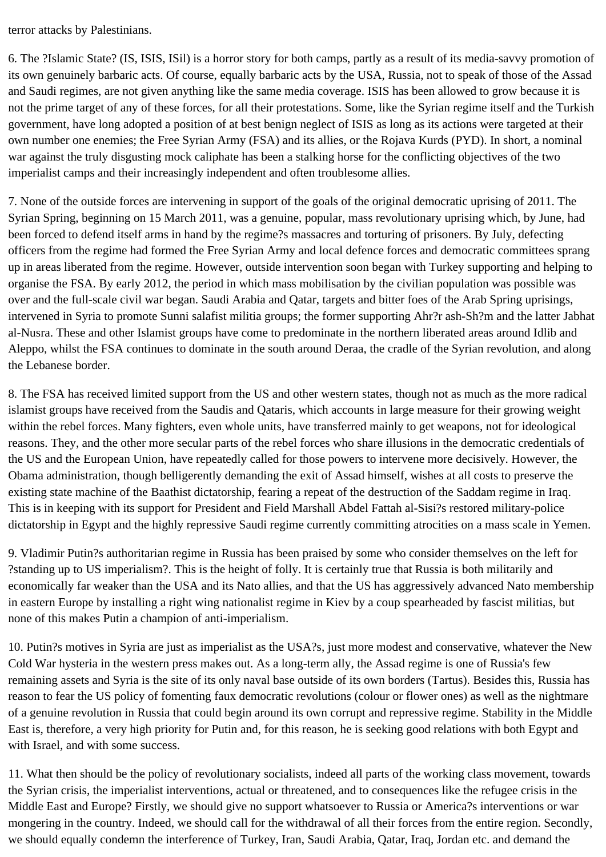terror attacks by Palestinians.

6. The ?Islamic State? (IS, ISIS, ISil) is a horror story for both camps, partly as a result of its media-savvy promotion of its own genuinely barbaric acts. Of course, equally barbaric acts by the USA, Russia, not to speak of those of the Assad and Saudi regimes, are not given anything like the same media coverage. ISIS has been allowed to grow because it is not the prime target of any of these forces, for all their protestations. Some, like the Syrian regime itself and the Turkish government, have long adopted a position of at best benign neglect of ISIS as long as its actions were targeted at their own number one enemies; the Free Syrian Army (FSA) and its allies, or the Rojava Kurds (PYD). In short, a nominal war against the truly disgusting mock caliphate has been a stalking horse for the conflicting objectives of the two imperialist camps and their increasingly independent and often troublesome allies.

7. None of the outside forces are intervening in support of the goals of the original democratic uprising of 2011. The Syrian Spring, beginning on 15 March 2011, was a genuine, popular, mass revolutionary uprising which, by June, had been forced to defend itself arms in hand by the regime?s massacres and torturing of prisoners. By July, defecting officers from the regime had formed the Free Syrian Army and local defence forces and democratic committees sprang up in areas liberated from the regime. However, outside intervention soon began with Turkey supporting and helping to organise the FSA. By early 2012, the period in which mass mobilisation by the civilian population was possible was over and the full-scale civil war began. Saudi Arabia and Qatar, targets and bitter foes of the Arab Spring uprisings, intervened in Syria to promote Sunni salafist militia groups; the former supporting Ahr?r ash-Sh?m and the latter Jabhat al-Nusra. These and other Islamist groups have come to predominate in the northern liberated areas around Idlib and Aleppo, whilst the FSA continues to dominate in the south around Deraa, the cradle of the Syrian revolution, and along the Lebanese border.

8. The FSA has received limited support from the US and other western states, though not as much as the more radical islamist groups have received from the Saudis and Qataris, which accounts in large measure for their growing weight within the rebel forces. Many fighters, even whole units, have transferred mainly to get weapons, not for ideological reasons. They, and the other more secular parts of the rebel forces who share illusions in the democratic credentials of the US and the European Union, have repeatedly called for those powers to intervene more decisively. However, the Obama administration, though belligerently demanding the exit of Assad himself, wishes at all costs to preserve the existing state machine of the Baathist dictatorship, fearing a repeat of the destruction of the Saddam regime in Iraq. This is in keeping with its support for President and Field Marshall Abdel Fattah al-Sisi?s restored military-police dictatorship in Egypt and the highly repressive Saudi regime currently committing atrocities on a mass scale in Yemen.

9. Vladimir Putin?s authoritarian regime in Russia has been praised by some who consider themselves on the left for ?standing up to US imperialism?. This is the height of folly. It is certainly true that Russia is both militarily and economically far weaker than the USA and its Nato allies, and that the US has aggressively advanced Nato membership in eastern Europe by installing a right wing nationalist regime in Kiev by a coup spearheaded by fascist militias, but none of this makes Putin a champion of anti-imperialism.

10. Putin?s motives in Syria are just as imperialist as the USA?s, just more modest and conservative, whatever the New Cold War hysteria in the western press makes out. As a long-term ally, the Assad regime is one of Russia's few remaining assets and Syria is the site of its only naval base outside of its own borders (Tartus). Besides this, Russia has reason to fear the US policy of fomenting faux democratic revolutions (colour or flower ones) as well as the nightmare of a genuine revolution in Russia that could begin around its own corrupt and repressive regime. Stability in the Middle East is, therefore, a very high priority for Putin and, for this reason, he is seeking good relations with both Egypt and with Israel, and with some success.

11. What then should be the policy of revolutionary socialists, indeed all parts of the working class movement, towards the Syrian crisis, the imperialist interventions, actual or threatened, and to consequences like the refugee crisis in the Middle East and Europe? Firstly, we should give no support whatsoever to Russia or America?s interventions or war mongering in the country. Indeed, we should call for the withdrawal of all their forces from the entire region. Secondly, we should equally condemn the interference of Turkey, Iran, Saudi Arabia, Qatar, Iraq, Jordan etc. and demand the